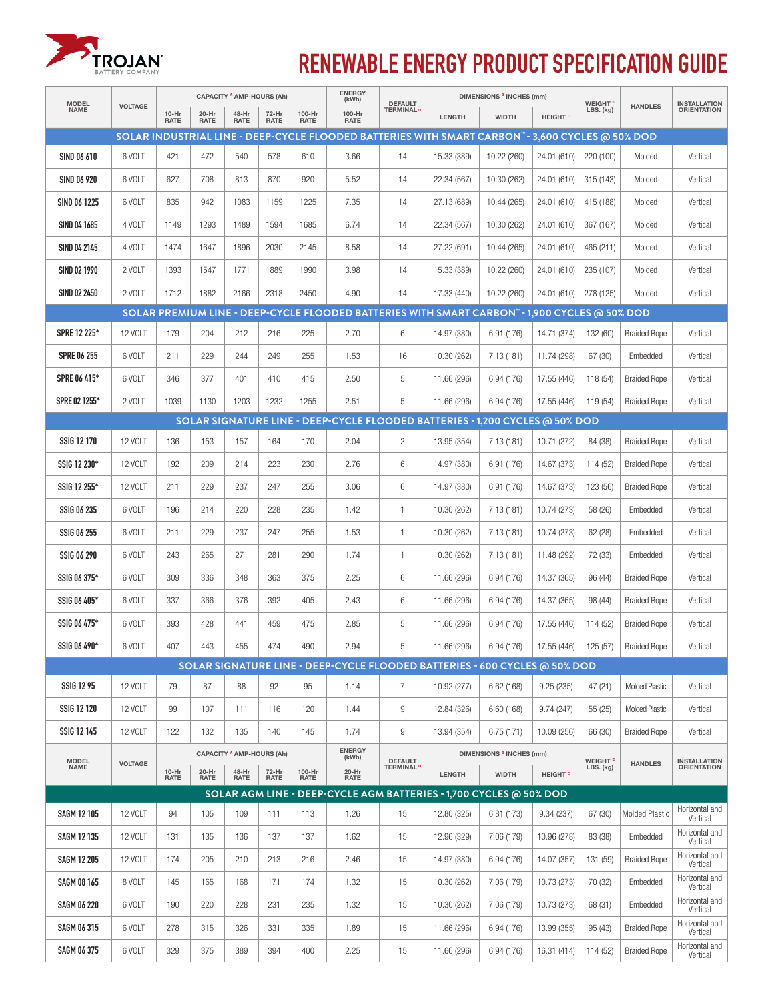

## **RENEWABLE ENERGY PRODUCT SPECIFICATION GUIDE**

| <b>MODEL</b><br><b>NAME</b>                                                                 | <b>VOLTAGE</b> | <b>CAPACITY A AMP-HOURS (Ah)</b> |                                  |                      |                      |                       | <b>ENERGY</b><br>(kWh)                                                                          | <b>DEFAULT</b>               | <b>DIMENSIONS B INCHES (mm)</b> |              |                           | WEIGHT <sup>E</sup> | <b>HANDLES</b>        | <b>INSTALLATION</b>        |
|---------------------------------------------------------------------------------------------|----------------|----------------------------------|----------------------------------|----------------------|----------------------|-----------------------|-------------------------------------------------------------------------------------------------|------------------------------|---------------------------------|--------------|---------------------------|---------------------|-----------------------|----------------------------|
|                                                                                             |                | $10-Hr$<br><b>RATE</b>           | 20-Hr<br><b>RATE</b>             | 48-Hr<br><b>RATE</b> | 72-Hr<br><b>RATE</b> | 100-Hr<br><b>RATE</b> | 100-Hr<br><b>RATE</b>                                                                           | <b>TERMINAL</b> <sup>D</sup> | LENGTH                          | <b>WIDTH</b> | <b>HEIGHT<sup>c</sup></b> | LBS. (kg)           |                       | <b>ORIENTATION</b>         |
|                                                                                             |                |                                  |                                  |                      |                      |                       | SOLAR INDUSTRIAL LINE - DEEP-CYCLE FLOODED BATTERIES WITH SMART CARBON"- 3.600 CYCLES @ 50% DOD |                              |                                 |              |                           |                     |                       |                            |
| <b>SIND 06 610</b>                                                                          | 6 VOLT         | 421                              | 472                              | 540                  | 578                  | 610                   | 3.66                                                                                            | 14                           | 15.33 (389)                     | 10.22 (260)  | 24.01 (610)               | 220 (100)           | Molded                | Vertical                   |
| SIND 06 920                                                                                 | 6 VOLT         | 627                              | 708                              | 813                  | 870                  | 920                   | 5.52                                                                                            | 14                           | 22.34 (567)                     | 10.30 (262)  | 24.01 (610)               | 315 (143)           | Molded                | Vertical                   |
| SIND 06 1225                                                                                | 6 VOLT         | 835                              | 942                              | 1083                 | 1159                 | 1225                  | 7.35                                                                                            | 14                           | 27.13 (689)                     | 10.44 (265)  | 24.01 (610)               | 415 (188)           | Molded                | Vertical                   |
| SIND 04 1685                                                                                | 4 VOLT         | 1149                             | 1293                             | 1489                 | 1594                 | 1685                  | 6.74                                                                                            | 14                           | 22.34 (567)                     | 10.30 (262)  | 24.01 (610)               | 367 (167)           | Molded                | Vertical                   |
| SIND 04 2145                                                                                | 4 VOLT         | 1474                             | 1647                             | 1896                 | 2030                 | 2145                  | 8.58                                                                                            | 14                           | 27.22 (691)                     | 10.44 (265)  | 24.01 (610)               | 465 (211)           | Molded                | Vertical                   |
| SIND 02 1990                                                                                | 2 VOLT         | 1393                             | 1547                             | 1771                 | 1889                 | 1990                  | 3.98                                                                                            | 14                           | 15.33 (389)                     | 10.22 (260)  | 24.01 (610)               | 235 (107)           | Molded                | Vertical                   |
| SIND 02 2450                                                                                | 2 VOLT         | 1712                             | 1882                             | 2166                 | 2318                 | 2450                  | 4.90                                                                                            | 14                           | 17.33 (440)                     | 10.22 (260)  | 24.01 (610)               | 278 (125)           | Molded                | Vertical                   |
| SOLAR PREMIUM LINE - DEEP-CYCLE FLOODED BATTERIES WITH SMART CARBON"-1,900 CYCLES @ 50% DOD |                |                                  |                                  |                      |                      |                       |                                                                                                 |                              |                                 |              |                           |                     |                       |                            |
| SPRE 12 225*                                                                                | 12 VOLT        | 179                              | 204                              | 212                  | 216                  | 225                   | 2.70                                                                                            | 6                            | 14.97 (380)                     | 6.91 (176)   | 14.71 (374)               | 132 (60)            | <b>Braided Rope</b>   | Vertical                   |
| <b>SPRE 06 255</b>                                                                          | 6 VOLT         | 211                              | 229                              | 244                  | 249                  | 255                   | 1.53                                                                                            | 16                           | 10.30 (262)                     | 7.13 (181)   | 11.74 (298)               | 67 (30)             | Embedded              | Vertical                   |
| SPRE 06 415*                                                                                | 6 VOLT         | 346                              | 377                              | 401                  | 410                  | 415                   | 2.50                                                                                            | 5                            | 11.66 (296)                     | 6.94 (176)   | 17.55 (446)               | 118 (54)            | <b>Braided Rope</b>   | Vertical                   |
| SPRE 02 1255*                                                                               | 2 VOLT         | 1039                             | 1130                             | 1203                 | 1232                 | 1255                  | 2.51                                                                                            | 5                            | 11.66 (296)                     | 6.94 (176)   | 17.55 (446)               | 119 (54)            | <b>Braided Rope</b>   | Vertical                   |
| SOLAR SIGNATURE LINE - DEEP-CYCLE FLOODED BATTERIES - 1,200 CYCLES @ 50% DOD                |                |                                  |                                  |                      |                      |                       |                                                                                                 |                              |                                 |              |                           |                     |                       |                            |
| SSIG 12 170                                                                                 | <b>12 VOLT</b> | 136                              | 153                              | 157                  | 164                  | 170                   | 2.04                                                                                            | 2                            | 13.95 (354)                     | 7.13 (181)   | 10.71 (272)               | 84 (38)             | <b>Braided Rope</b>   | Vertical                   |
| SSIG 12 230*                                                                                | 12 VOLT        | 192                              | 209                              | 214                  | 223                  | 230                   | 2.76                                                                                            | 6                            | 14.97 (380)                     | 6.91 (176)   | 14.67 (373)               | 114 (52)            | <b>Braided Rope</b>   | Vertical                   |
| SSIG 12 255*                                                                                | <b>12 VOLT</b> | 211                              | 229                              | 237                  | 247                  | 255                   | 3.06                                                                                            | 6                            | 14.97 (380)                     | 6.91 (176)   | 14.67 (373)               | 123 (56)            | <b>Braided Rope</b>   | Vertical                   |
| SSIG 06 235                                                                                 | 6 VOLT         | 196                              | 214                              | 220                  | 228                  | 235                   | 1.42                                                                                            | $\mathbf{1}$                 | 10.30 (262)                     | 7.13 (181)   | 10.74 (273)               | 58 (26)             | Embedded              | Vertical                   |
| SSIG 06 255                                                                                 | 6 VOLT         | 211                              | 229                              | 237                  | 247                  | 255                   | 1.53                                                                                            | 1                            | 10.30 (262)                     | 7.13 (181)   | 10.74 (273)               | 62(28)              | Embedded              | Vertical                   |
| SSIG 06 290                                                                                 | 6 VOLT         | 243                              | 265                              | 271                  | 281                  | 290                   | 1.74                                                                                            | 1                            | 10.30 (262)                     | 7.13 (181)   | 11.48 (292)               | 72 (33)             | Embedded              | Vertical                   |
| SSIG 06 375*                                                                                | 6 VOLT         | 309                              | 336                              | 348                  | 363                  | 375                   | 2.25                                                                                            | 6                            | 11.66 (296)                     | 6.94 (176)   | 14.37 (365)               | 96 (44)             | <b>Braided Rope</b>   | Vertical                   |
| SSIG 06 405*                                                                                | 6 VOLT         | 337                              | 366                              | 376                  | 392                  | 405                   | 2.43                                                                                            | 6                            | 11.66 (296)                     | 6.94 (176)   | 14.37 (365)               | 98 (44)             | <b>Braided Rope</b>   | Vertical                   |
| SSIG 06 475*                                                                                | 6 VOLT         | 393                              | 428                              | 441                  | 459                  | 475                   | 2.85                                                                                            | 5                            | 11.66 (296)                     | 6.94 (176)   | 17.55 (446)               | 114 (52)            | <b>Braided Rope</b>   | Vertical                   |
| SSIG 06 490*                                                                                | 6 VOLT         | 407                              | 443                              | 455                  | 474                  | 490                   | 2.94                                                                                            | 5                            | 11.66 (296)                     | 6.94 (176)   | 17.55 (446)               | 125 (57)            | <b>Braided Rope</b>   | Vertical                   |
|                                                                                             |                |                                  |                                  |                      |                      |                       | SOLAR SIGNATURE LINE - DEEP-CYCLE FLOODED BATTERIES - 600 CYCLES @ 50% DOD                      |                              |                                 |              |                           |                     |                       |                            |
| <b>SSIG 12 95</b>                                                                           | 12 VOLT        | 79                               | 87                               | 88                   | 92                   | 95                    | 1.14                                                                                            | $\overline{7}$               | 10.92 (277)                     | 6.62(168)    | 9.25(235)                 | 47 (21)             | <b>Molded Plastic</b> | Vertical                   |
| SSIG 12 120                                                                                 | 12 VOLT        | 99                               | 107                              | 111                  | 116                  | 120                   | 1.44                                                                                            | 9                            | 12.84 (326)                     | 6.60(168)    | 9.74(247)                 | 55(25)              | <b>Molded Plastic</b> | Vertical                   |
| SSIG 12 145                                                                                 | 12 VOLT        | 122                              | 132                              | 135                  | 140                  | 145                   | 1.74                                                                                            | 9                            | 13.94 (354)                     | 6.75(171)    | 10.09 (256)               | 66 (30)             | <b>Braided Rope</b>   | Vertical                   |
| <b>MODEL</b><br><b>NAME</b>                                                                 |                |                                  | <b>CAPACITY A AMP-HOURS (Ah)</b> |                      |                      |                       | <b>ENERGY</b><br>(kWh)                                                                          | <b>DEFAULT</b>               | <b>DIMENSIONS B INCHES (mm)</b> |              | WEIGHT <sup>E</sup>       |                     | <b>INSTALLATION</b>   |                            |
|                                                                                             | <b>VOLTAGE</b> | 10-Hr<br>RATE                    | 20-Hr<br>RATE                    | 48-Hr<br>RATE        | 72-Hr<br>RATE        | 100-Hr<br><b>RATE</b> | 20-Hr<br><b>RATE</b>                                                                            | <b>TERMINAL<sup>D</sup></b>  | LENGTH                          | <b>WIDTH</b> | <b>HEIGHT<sup>c</sup></b> | LBS. (kg)           | <b>HANDLES</b>        | <b>ORIENTATION</b>         |
|                                                                                             |                |                                  |                                  |                      |                      |                       | SOLAR AGM LINE - DEEP-CYCLE AGM BATTERIES - 1,700 CYCLES @ 50% DOD                              |                              |                                 |              |                           |                     |                       |                            |
| <b>SAGM 12 105</b>                                                                          | 12 VOLT        | 94                               | 105                              | 109                  | 111                  | 113                   | 1.26                                                                                            | 15                           | 12.80 (325)                     | 6.81 (173)   | 9.34 (237)                | 67 (30)             | Molded Plastic        | Horizontal and<br>Vertical |
| <b>SAGM 12 135</b>                                                                          | 12 VOLT        | 131                              | 135                              | 136                  | 137                  | 137                   | 1.62                                                                                            | 15                           | 12.96 (329)                     | 7.06 (179)   | 10.96 (278)               | 83 (38)             | Embedded              | Horizontal and<br>Vertical |
| <b>SAGM 12 205</b>                                                                          | 12 VOLT        | 174                              | 205                              | 210                  | 213                  | 216                   | 2.46                                                                                            | 15                           | 14.97 (380)                     | 6.94 (176)   | 14.07 (357)               | 131 (59)            | <b>Braided Rope</b>   | Horizontal and<br>Vertical |
| <b>SAGM 08 165</b>                                                                          | 8 VOLT         | 145                              | 165                              | 168                  | 171                  | 174                   | 1.32                                                                                            | 15                           | 10.30 (262)                     | 7.06 (179)   | 10.73 (273)               | 70 (32)             | Embedded              | Horizontal and<br>Vertical |
| <b>SAGM 06 220</b>                                                                          | 6 VOLT         | 190                              | 220                              | 228                  | 231                  | 235                   | 1.32                                                                                            | 15                           | 10.30 (262)                     | 7.06 (179)   | 10.73 (273)               | 68 (31)             | Embedded              | Horizontal and<br>Vertical |
| <b>SAGM 06 315</b>                                                                          | 6 VOLT         | 278                              | 315                              | 326                  | 331                  | 335                   | 1.89                                                                                            | 15                           | 11.66 (296)                     | 6.94 (176)   | 13.99 (355)               | 95 (43)             | <b>Braided Rope</b>   | Horizontal and<br>Vertical |
| <b>SAGM 06 375</b>                                                                          | 6 VOLT         | 329                              | 375                              | 389                  | 394                  | 400                   | 2.25                                                                                            | 15                           | 11.66 (296)                     | 6.94 (176)   | 16.31 (414)               | 114 (52)            | <b>Braided Rope</b>   | Horizontal and<br>Vertical |